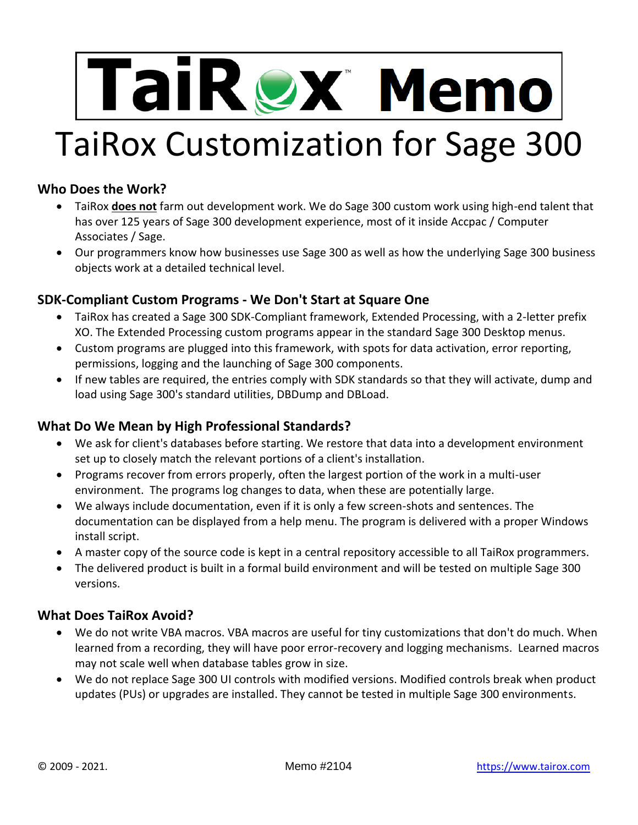# TaiRex Memo TaiRox Customization for Sage 300

# **Who Does the Work?**

- TaiRox **does not** farm out development work. We do Sage 300 custom work using high-end talent that has over 125 years of Sage 300 development experience, most of it inside Accpac / Computer Associates / Sage.
- Our programmers know how businesses use Sage 300 as well as how the underlying Sage 300 business objects work at a detailed technical level.

# **SDK-Compliant Custom Programs - We Don't Start at Square One**

- TaiRox has created a Sage 300 SDK-Compliant framework, Extended Processing, with a 2-letter prefix XO. The Extended Processing custom programs appear in the standard Sage 300 Desktop menus.
- Custom programs are plugged into this framework, with spots for data activation, error reporting, permissions, logging and the launching of Sage 300 components.
- If new tables are required, the entries comply with SDK standards so that they will activate, dump and load using Sage 300's standard utilities, DBDump and DBLoad.

#### **What Do We Mean by High Professional Standards?**

- We ask for client's databases before starting. We restore that data into a development environment set up to closely match the relevant portions of a client's installation.
- Programs recover from errors properly, often the largest portion of the work in a multi-user environment. The programs log changes to data, when these are potentially large.
- We always include documentation, even if it is only a few screen-shots and sentences. The documentation can be displayed from a help menu. The program is delivered with a proper Windows install script.
- A master copy of the source code is kept in a central repository accessible to all TaiRox programmers.
- The delivered product is built in a formal build environment and will be tested on multiple Sage 300 versions.

#### **What Does TaiRox Avoid?**

- We do not write VBA macros. VBA macros are useful for tiny customizations that don't do much. When learned from a recording, they will have poor error-recovery and logging mechanisms. Learned macros may not scale well when database tables grow in size.
- We do not replace Sage 300 UI controls with modified versions. Modified controls break when product updates (PUs) or upgrades are installed. They cannot be tested in multiple Sage 300 environments.